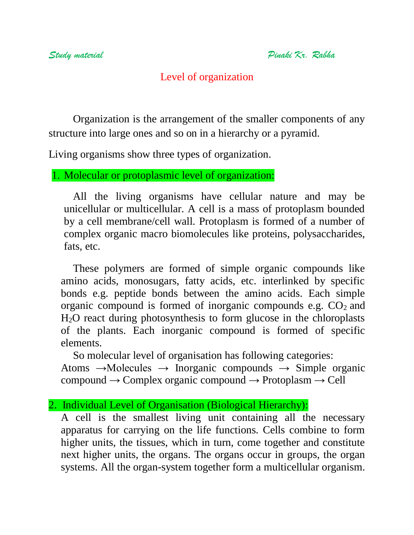# Level of organization

Organization is the arrangement of the smaller components of any structure into large ones and so on in a hierarchy or a pyramid.

Living organisms show three types of organization.

1. Molecular or protoplasmic level of organization:

All the living organisms have cellular nature and may be unicellular or multicellular. A cell is a mass of protoplasm bounded by a cell membrane/cell wall. Protoplasm is formed of a number of complex organic macro biomolecules like proteins, polysaccharides, fats, etc.

These polymers are formed of simple organic compounds like amino acids, monosugars, fatty acids, etc. interlinked by specific bonds e.g. peptide bonds between the amino acids. Each simple organic compound is formed of inorganic compounds e.g.  $CO<sub>2</sub>$  and H2O react during photosynthesis to form glucose in the chloroplasts of the plants. Each inorganic compound is formed of specific elements.

So molecular level of organisation has following categories:

Atoms  $\rightarrow$ Molecules  $\rightarrow$  Inorganic compounds  $\rightarrow$  Simple organic compound  $\rightarrow$  Complex organic compound  $\rightarrow$  Protoplasm  $\rightarrow$  Cell

#### 2. Individual Level of Organisation (Biological Hierarchy):

A cell is the smallest living unit containing all the necessary apparatus for carrying on the life functions. Cells combine to form higher units, the tissues, which in turn, come together and constitute next higher units, the organs. The organs occur in groups, the organ systems. All the organ-system together form a multicellular organism.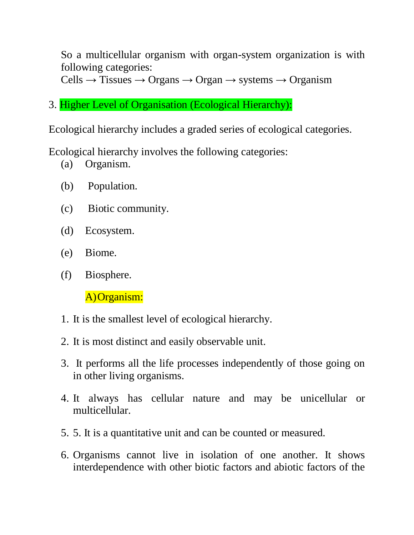So a multicellular organism with organ-system organization is with following categories:

 $Cells \rightarrow Tissues \rightarrow Organ \rightarrow Organ \rightarrow systems \rightarrow Organism$ 

3. Higher Level of Organisation (Ecological Hierarchy):

Ecological hierarchy includes a graded series of ecological categories.

Ecological hierarchy involves the following categories:

- (a) Organism.
- (b) Population.
- (c) Biotic community.
- (d) Ecosystem.
- (e) Biome.
- (f) Biosphere.

A)Organism:

- 1. It is the smallest level of ecological hierarchy.
- 2. It is most distinct and easily observable unit.
- 3. It performs all the life processes independently of those going on in other living organisms.
- 4. It always has cellular nature and may be unicellular or multicellular.
- 5. 5. It is a quantitative unit and can be counted or measured.
- 6. Organisms cannot live in isolation of one another. It shows interdependence with other biotic factors and abiotic factors of the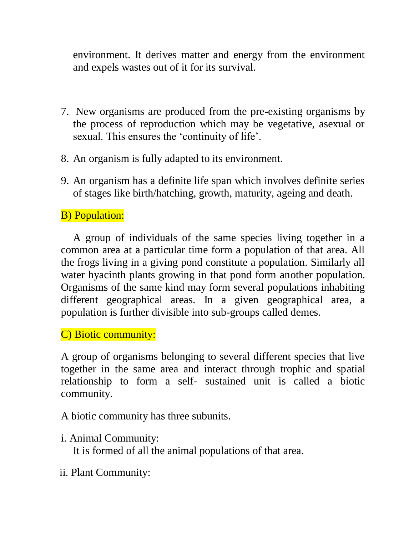environment. It derives matter and energy from the environment and expels wastes out of it for its survival.

- 7. New organisms are produced from the pre-existing organisms by the process of reproduction which may be vegetative, asexual or sexual. This ensures the 'continuity of life'.
- 8. An organism is fully adapted to its environment.
- 9. An organism has a definite life span which involves definite series of stages like birth/hatching, growth, maturity, ageing and death.

### B) Population:

A group of individuals of the same species living together in a common area at a particular time form a population of that area. All the frogs living in a giving pond constitute a population. Similarly all water hyacinth plants growing in that pond form another population. Organisms of the same kind may form several populations inhabiting different geographical areas. In a given geographical area, a population is further divisible into sub-groups called demes.

C) Biotic community:

A group of organisms belonging to several different species that live together in the same area and interact through trophic and spatial relationship to form a self- sustained unit is called a biotic community.

A biotic community has three subunits.

i. Animal Community: It is formed of all the animal populations of that area.

ii. Plant Community: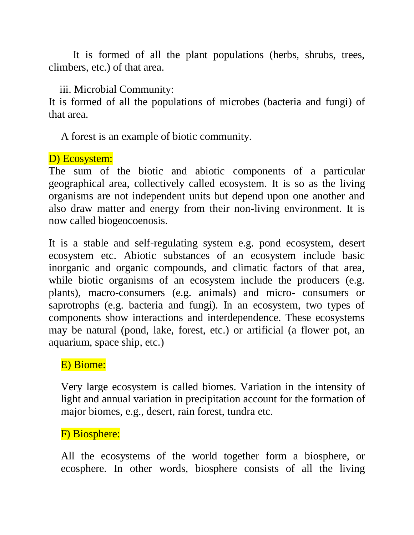It is formed of all the plant populations (herbs, shrubs, trees, climbers, etc.) of that area.

iii. Microbial Community:

It is formed of all the populations of microbes (bacteria and fungi) of that area.

A forest is an example of biotic community.

### D) Ecosystem:

The sum of the biotic and abiotic components of a particular geographical area, collectively called ecosystem. It is so as the living organisms are not independent units but depend upon one another and also draw matter and energy from their non-living environment. It is now called biogeocoenosis.

It is a stable and self-regulating system e.g. pond ecosystem, desert ecosystem etc. Abiotic substances of an ecosystem include basic inorganic and organic compounds, and climatic factors of that area, while biotic organisms of an ecosystem include the producers (e.g. plants), macro-consumers (e.g. animals) and micro- consumers or saprotrophs (e.g. bacteria and fungi). In an ecosystem, two types of components show interactions and interdependence. These ecosystems may be natural (pond, lake, forest, etc.) or artificial (a flower pot, an aquarium, space ship, etc.)

# E) Biome:

Very large ecosystem is called biomes. Variation in the intensity of light and annual variation in precipitation account for the formation of major biomes, e.g., desert, rain forest, tundra etc.

# F) Biosphere:

All the ecosystems of the world together form a biosphere, or ecosphere. In other words, biosphere consists of all the living